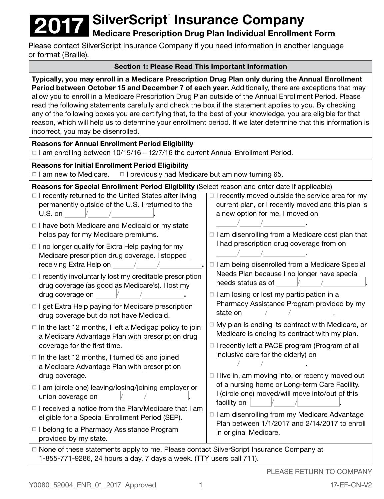# **2017 SilverScript<sup>®</sup> Insurance Company**<br>Medicare Prescription Drug Plan Individual Enrollme

# Medicare Prescription Drug Plan Individual Enrollment Form

Please contact SilverScript Insurance Company if you need information in another language or format (Braille).

# Section 1: Please Read This Important Information

| Typically, you may enroll in a Medicare Prescription Drug Plan only during the Annual Enrollment<br>Period between October 15 and December 7 of each year. Additionally, there are exceptions that may<br>allow you to enroll in a Medicare Prescription Drug Plan outside of the Annual Enrollment Period. Please<br>read the following statements carefully and check the box if the statement applies to you. By checking<br>any of the following boxes you are certifying that, to the best of your knowledge, you are eligible for that<br>reason, which will help us to determine your enrollment period. If we later determine that this information is<br>incorrect, you may be disenrolled.                                                                                                                                                                                                                                                                                                                                                                                                                                                                                                                                                                                                                                                                  |                                                                                                                                                                                                                                                                                                                                                                                                                                                                                                                                                                                                                                                                                                                                                                                                                                                                                                                                                                                                                              |  |  |  |
|-----------------------------------------------------------------------------------------------------------------------------------------------------------------------------------------------------------------------------------------------------------------------------------------------------------------------------------------------------------------------------------------------------------------------------------------------------------------------------------------------------------------------------------------------------------------------------------------------------------------------------------------------------------------------------------------------------------------------------------------------------------------------------------------------------------------------------------------------------------------------------------------------------------------------------------------------------------------------------------------------------------------------------------------------------------------------------------------------------------------------------------------------------------------------------------------------------------------------------------------------------------------------------------------------------------------------------------------------------------------------|------------------------------------------------------------------------------------------------------------------------------------------------------------------------------------------------------------------------------------------------------------------------------------------------------------------------------------------------------------------------------------------------------------------------------------------------------------------------------------------------------------------------------------------------------------------------------------------------------------------------------------------------------------------------------------------------------------------------------------------------------------------------------------------------------------------------------------------------------------------------------------------------------------------------------------------------------------------------------------------------------------------------------|--|--|--|
| <b>Reasons for Annual Enrollment Period Eligibility</b><br>□ I am enrolling between 10/15/16 - 12/7/16 the current Annual Enrollment Period.                                                                                                                                                                                                                                                                                                                                                                                                                                                                                                                                                                                                                                                                                                                                                                                                                                                                                                                                                                                                                                                                                                                                                                                                                          |                                                                                                                                                                                                                                                                                                                                                                                                                                                                                                                                                                                                                                                                                                                                                                                                                                                                                                                                                                                                                              |  |  |  |
| <b>Reasons for Initial Enrollment Period Eligibility</b><br>$\Box$ I am new to Medicare.<br>$\Box$ I previously had Medicare but am now turning 65.                                                                                                                                                                                                                                                                                                                                                                                                                                                                                                                                                                                                                                                                                                                                                                                                                                                                                                                                                                                                                                                                                                                                                                                                                   |                                                                                                                                                                                                                                                                                                                                                                                                                                                                                                                                                                                                                                                                                                                                                                                                                                                                                                                                                                                                                              |  |  |  |
| Reasons for Special Enrollment Period Eligibility (Select reason and enter date if applicable)<br>$\Box$ I recently returned to the United States after living<br>permanently outside of the U.S. I returned to the<br>U.S. on<br>□ I have both Medicare and Medicaid or my state<br>helps pay for my Medicare premiums.<br>$\Box$ I no longer qualify for Extra Help paying for my<br>Medicare prescription drug coverage. I stopped<br>receiving Extra Help on<br>$\Box$ I recently involuntarily lost my creditable prescription<br>drug coverage (as good as Medicare's). I lost my<br>drug coverage on<br>$\Box$ I get Extra Help paying for Medicare prescription<br>drug coverage but do not have Medicaid.<br>$\Box$ In the last 12 months, I left a Medigap policy to join<br>a Medicare Advantage Plan with prescription drug<br>coverage for the first time.<br>$\Box$ In the last 12 months, I turned 65 and joined<br>a Medicare Advantage Plan with prescription<br>drug coverage.<br>$\Box$ I am (circle one) leaving/losing/joining employer or<br>union coverage on<br>□ I received a notice from the Plan/Medicare that I am<br>eligible for a Special Enrollment Period (SEP).<br>□ I belong to a Pharmacy Assistance Program<br>provided by my state.<br>□ None of these statements apply to me. Please contact SilverScript Insurance Company at | $\Box$ I recently moved outside the service area for my<br>current plan, or I recently moved and this plan is<br>a new option for me. I moved on<br>□ I am disenrolling from a Medicare cost plan that<br>I had prescription drug coverage from on<br>□ I am being disenrolled from a Medicare Special<br>Needs Plan because I no longer have special<br>needs status as of<br>$\Box$ I am losing or lost my participation in a<br>Pharmacy Assistance Program provided by my<br>state on<br>$\Box$ My plan is ending its contract with Medicare, or<br>Medicare is ending its contract with my plan.<br>$\Box$ I recently left a PACE program (Program of all<br>inclusive care for the elderly) on<br>$\sqrt{2}$<br>$\Box$ I live in, am moving into, or recently moved out<br>of a nursing home or Long-term Care Facility.<br>I (circle one) moved/will move into/out of this<br>facility on<br>□ I am disenrolling from my Medicare Advantage<br>Plan between 1/1/2017 and 2/14/2017 to enroll<br>in original Medicare. |  |  |  |

1-855-771-9286, 24 hours a day, 7 days a week. (TTY users call 711).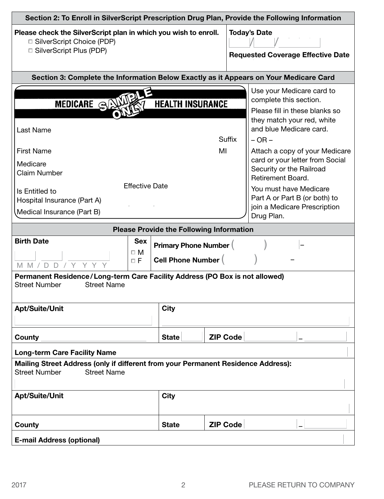| Section 2: To Enroll in SilverScript Prescription Drug Plan, Provide the Following Information                                                                                                                                                                                   |                         |                                                                 |                 |                                                                                                                                                                                                                                                                                                                                                                                             |  |
|----------------------------------------------------------------------------------------------------------------------------------------------------------------------------------------------------------------------------------------------------------------------------------|-------------------------|-----------------------------------------------------------------|-----------------|---------------------------------------------------------------------------------------------------------------------------------------------------------------------------------------------------------------------------------------------------------------------------------------------------------------------------------------------------------------------------------------------|--|
| Please check the SilverScript plan in which you wish to enroll.<br>□ SilverScript Choice (PDP)<br>□ SilverScript Plus (PDP)                                                                                                                                                      |                         | <b>Today's Date</b><br><b>Requested Coverage Effective Date</b> |                 |                                                                                                                                                                                                                                                                                                                                                                                             |  |
| Section 3: Complete the Information Below Exactly as it Appears on Your Medicare Card                                                                                                                                                                                            |                         |                                                                 |                 |                                                                                                                                                                                                                                                                                                                                                                                             |  |
| MEDICARE SAVI<br>Last Name<br><b>First Name</b><br>Medicare<br><b>Claim Number</b><br><b>Effective Date</b><br>Is Entitled to<br>Hospital Insurance (Part A)<br>Medical Insurance (Part B)                                                                                       | <b>HEALTH INSURANCE</b> | MI                                                              | <b>Suffix</b>   | Use your Medicare card to<br>complete this section.<br>Please fill in these blanks so<br>they match your red, white<br>and blue Medicare card.<br>$-$ OR $-$<br>Attach a copy of your Medicare<br>card or your letter from Social<br>Security or the Railroad<br>Retirement Board.<br>You must have Medicare<br>Part A or Part B (or both) to<br>join a Medicare Prescription<br>Drug Plan. |  |
| <b>Please Provide the Following Information</b>                                                                                                                                                                                                                                  |                         |                                                                 |                 |                                                                                                                                                                                                                                                                                                                                                                                             |  |
| <b>Birth Date</b><br><b>Sex</b><br><b>Primary Phone Number (</b><br>$\square$ M<br><b>Cell Phone Number (</b><br>$\Box F$<br>D D<br>$M$ $M$ /<br>Y.<br>Permanent Residence/Long-term Care Facility Address (PO Box is not allowed)<br><b>Street Name</b><br><b>Street Number</b> |                         |                                                                 |                 |                                                                                                                                                                                                                                                                                                                                                                                             |  |
| <b>Apt/Suite/Unit</b>                                                                                                                                                                                                                                                            | <b>City</b>             |                                                                 |                 |                                                                                                                                                                                                                                                                                                                                                                                             |  |
| County                                                                                                                                                                                                                                                                           | <b>State</b>            |                                                                 | <b>ZIP Code</b> |                                                                                                                                                                                                                                                                                                                                                                                             |  |
| <b>Long-term Care Facility Name</b><br>Mailing Street Address (only if different from your Permanent Residence Address):<br><b>Street Number</b><br><b>Street Name</b><br><b>Apt/Suite/Unit</b><br><b>City</b>                                                                   |                         |                                                                 |                 |                                                                                                                                                                                                                                                                                                                                                                                             |  |
| County                                                                                                                                                                                                                                                                           | <b>State</b>            | <b>ZIP Code</b>                                                 |                 |                                                                                                                                                                                                                                                                                                                                                                                             |  |
| <b>E-mail Address (optional)</b>                                                                                                                                                                                                                                                 |                         |                                                                 |                 |                                                                                                                                                                                                                                                                                                                                                                                             |  |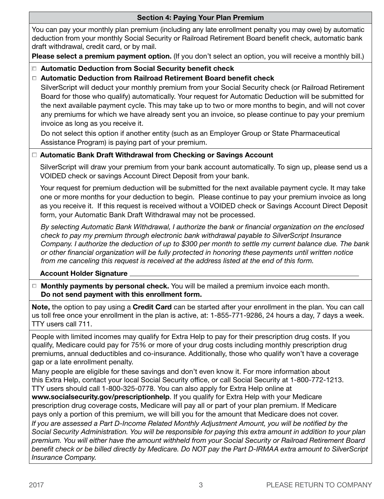| <b>Section 4: Paying Your Plan Premium</b>                                                                                                                                                                                                                                                                                                                                                                                                                                                                                                                                                           |  |  |  |  |
|------------------------------------------------------------------------------------------------------------------------------------------------------------------------------------------------------------------------------------------------------------------------------------------------------------------------------------------------------------------------------------------------------------------------------------------------------------------------------------------------------------------------------------------------------------------------------------------------------|--|--|--|--|
| You can pay your monthly plan premium (including any late enrollment penalty you may owe) by automatic<br>deduction from your monthly Social Security or Railroad Retirement Board benefit check, automatic bank<br>draft withdrawal, credit card, or by mail.                                                                                                                                                                                                                                                                                                                                       |  |  |  |  |
| Please select a premium payment option. (If you don't select an option, you will receive a monthly bill.)                                                                                                                                                                                                                                                                                                                                                                                                                                                                                            |  |  |  |  |
| <b>Automatic Deduction from Social Security benefit check</b><br>$\Box$                                                                                                                                                                                                                                                                                                                                                                                                                                                                                                                              |  |  |  |  |
| Automatic Deduction from Railroad Retirement Board benefit check                                                                                                                                                                                                                                                                                                                                                                                                                                                                                                                                     |  |  |  |  |
| SilverScript will deduct your monthly premium from your Social Security check (or Railroad Retirement<br>Board for those who qualify) automatically. Your request for Automatic Deduction will be submitted for<br>the next available payment cycle. This may take up to two or more months to begin, and will not cover<br>any premiums for which we have already sent you an invoice, so please continue to pay your premium<br>invoice as long as you receive it.<br>Do not select this option if another entity (such as an Employer Group or State Pharmaceutical                               |  |  |  |  |
| Assistance Program) is paying part of your premium.                                                                                                                                                                                                                                                                                                                                                                                                                                                                                                                                                  |  |  |  |  |
| □ Automatic Bank Draft Withdrawal from Checking or Savings Account                                                                                                                                                                                                                                                                                                                                                                                                                                                                                                                                   |  |  |  |  |
| SilverScript will draw your premium from your bank account automatically. To sign up, please send us a<br>VOIDED check or savings Account Direct Deposit from your bank.                                                                                                                                                                                                                                                                                                                                                                                                                             |  |  |  |  |
| Your request for premium deduction will be submitted for the next available payment cycle. It may take<br>one or more months for your deduction to begin. Please continue to pay your premium invoice as long<br>as you receive it. If this request is received without a VOIDED check or Savings Account Direct Deposit<br>form, your Automatic Bank Draft Withdrawal may not be processed.                                                                                                                                                                                                         |  |  |  |  |
| By selecting Automatic Bank Withdrawal, I authorize the bank or financial organization on the enclosed<br>check to pay my premium through electronic bank withdrawal payable to SilverScript Insurance<br>Company. I authorize the deduction of up to \$300 per month to settle my current balance due. The bank<br>or other financial organization will be fully protected in honoring these payments until written notice<br>from me canceling this request is received at the address listed at the end of this form.                                                                             |  |  |  |  |
| <b>Account Holder Signature</b>                                                                                                                                                                                                                                                                                                                                                                                                                                                                                                                                                                      |  |  |  |  |
| Monthly payments by personal check. You will be mailed a premium invoice each month.<br>□<br>Do not send payment with this enrollment form.                                                                                                                                                                                                                                                                                                                                                                                                                                                          |  |  |  |  |
| Note, the option to pay using a Credit Card can be started after your enrollment in the plan. You can call<br>us toll free once your enrollment in the plan is active, at: 1-855-771-9286, 24 hours a day, 7 days a week.<br>TTY users call 711.                                                                                                                                                                                                                                                                                                                                                     |  |  |  |  |
| People with limited incomes may qualify for Extra Help to pay for their prescription drug costs. If you<br>qualify, Medicare could pay for 75% or more of your drug costs including monthly prescription drug<br>premiums, annual deductibles and co-insurance. Additionally, those who qualify won't have a coverage<br>gap or a late enrollment penalty.                                                                                                                                                                                                                                           |  |  |  |  |
| Many people are eligible for these savings and don't even know it. For more information about<br>this Extra Help, contact your local Social Security office, or call Social Security at 1-800-772-1213.<br>TTY users should call 1-800-325-0778. You can also apply for Extra Help online at<br>www.socialsecurity.gov/prescriptionhelp. If you qualify for Extra Help with your Medicare<br>prescription drug coverage costs, Medicare will pay all or part of your plan premium. If Medicare<br>pays only a portion of this premium, we will bill you for the amount that Medicare does not cover. |  |  |  |  |
| If you are assessed a Part D-Income Related Monthly Adjustment Amount, you will be notified by the<br>Social Security Administration. You will be responsible for paying this extra amount in addition to your plan<br>premium. You will either have the amount withheld from your Social Security or Railroad Retirement Board<br>benefit check or be billed directly by Medicare. Do NOT pay the Part D-IRMAA extra amount to SilverScript<br>Insurance Company.                                                                                                                                   |  |  |  |  |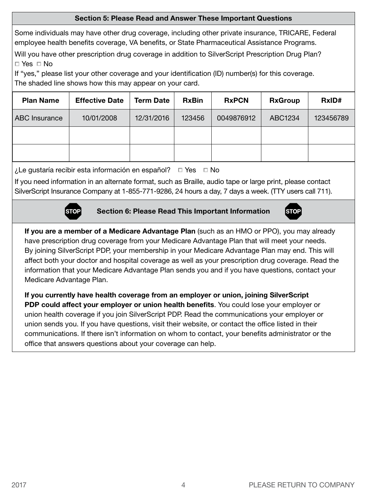#### Section 5: Please Read and Answer These Important Questions

Some individuals may have other drug coverage, including other private insurance, TRICARE, Federal employee health benefits coverage, VA benefits, or State Pharmaceutical Assistance Programs.

Will you have other prescription drug coverage in addition to SilverScript Prescription Drug Plan?  $\Box$  Yes  $\Box$  No

If "yes," please list your other coverage and your identification (ID) number(s) for this coverage. The shaded line shows how this may appear on your card.

| <b>Plan Name</b>     | <b>Effective Date</b> | <b>Term Date</b> | <b>RxBin</b> | <b>RxPCN</b> | <b>RxGroup</b> | RxID#     |
|----------------------|-----------------------|------------------|--------------|--------------|----------------|-----------|
| <b>ABC Insurance</b> | 10/01/2008            | 12/31/2016       | 123456       | 0049876912   | ABC1234        | 123456789 |
|                      |                       |                  |              |              |                |           |
|                      |                       |                  |              |              |                |           |

¿Le gustaría recibir esta información en español?  $\Box$  Yes  $\Box$  No

If you need information in an alternate format, such as Braille, audio tape or large print, please contact SilverScript Insurance Company at 1-855-771-9286, 24 hours a day, 7 days a week. (TTY users call 711).



Section 6: Please Read This Important Information



If you are a member of a Medicare Advantage Plan (such as an HMO or PPO), you may already have prescription drug coverage from your Medicare Advantage Plan that will meet your needs. By joining SilverScript PDP, your membership in your Medicare Advantage Plan may end. This will affect both your doctor and hospital coverage as well as your prescription drug coverage. Read the information that your Medicare Advantage Plan sends you and if you have questions, contact your Medicare Advantage Plan.

If you currently have health coverage from an employer or union, joining SilverScript PDP could affect your employer or union health benefits. You could lose your employer or union health coverage if you join SilverScript PDP. Read the communications your employer or union sends you. If you have questions, visit their website, or contact the office listed in their communications. If there isn't information on whom to contact, your benefits administrator or the office that answers questions about your coverage can help.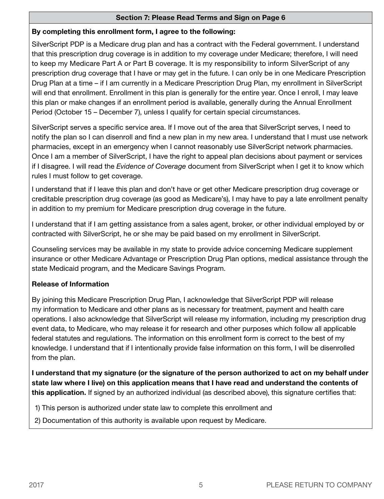## Section 7: Please Read Terms and Sign on Page 6

## By completing this enrollment form, I agree to the following:

SilverScript PDP is a Medicare drug plan and has a contract with the Federal government. I understand that this prescription drug coverage is in addition to my coverage under Medicare; therefore, I will need to keep my Medicare Part A or Part B coverage. It is my responsibility to inform SilverScript of any prescription drug coverage that I have or may get in the future. I can only be in one Medicare Prescription Drug Plan at a time – if I am currently in a Medicare Prescription Drug Plan, my enrollment in SilverScript will end that enrollment. Enrollment in this plan is generally for the entire year. Once I enroll, I may leave this plan or make changes if an enrollment period is available, generally during the Annual Enrollment Period (October 15 – December 7), unless I qualify for certain special circumstances.

SilverScript serves a specific service area. If I move out of the area that SilverScript serves, I need to notify the plan so I can disenroll and find a new plan in my new area. I understand that I must use network pharmacies, except in an emergency when I cannot reasonably use SilverScript network pharmacies. Once I am a member of SilverScript, I have the right to appeal plan decisions about payment or services if I disagree. I will read the *Evidence of Coverage* document from SilverScript when I get it to know which rules I must follow to get coverage.

I understand that if I leave this plan and don't have or get other Medicare prescription drug coverage or creditable prescription drug coverage (as good as Medicare's), I may have to pay a late enrollment penalty in addition to my premium for Medicare prescription drug coverage in the future.

I understand that if I am getting assistance from a sales agent, broker, or other individual employed by or contracted with SilverScript, he or she may be paid based on my enrollment in SilverScript.

Counseling services may be available in my state to provide advice concerning Medicare supplement insurance or other Medicare Advantage or Prescription Drug Plan options, medical assistance through the state Medicaid program, and the Medicare Savings Program.

# Release of Information

By joining this Medicare Prescription Drug Plan, I acknowledge that SilverScript PDP will release my information to Medicare and other plans as is necessary for treatment, payment and health care operations. I also acknowledge that SilverScript will release my information, including my prescription drug event data, to Medicare, who may release it for research and other purposes which follow all applicable federal statutes and regulations. The information on this enrollment form is correct to the best of my knowledge. I understand that if I intentionally provide false information on this form, I will be disenrolled from the plan.

I understand that my signature (or the signature of the person authorized to act on my behalf under state law where I live) on this application means that I have read and understand the contents of this application. If signed by an authorized individual (as described above), this signature certifies that:

1) This person is authorized under state law to complete this enrollment and

2) Documentation of this authority is available upon request by Medicare.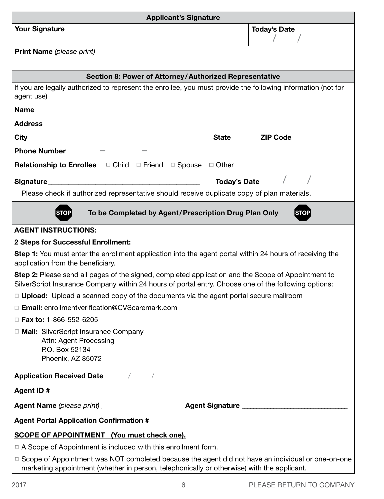| <b>Applicant's Signature</b>                                                                                                                                                                               |                     |  |  |  |
|------------------------------------------------------------------------------------------------------------------------------------------------------------------------------------------------------------|---------------------|--|--|--|
| <b>Your Signature</b>                                                                                                                                                                                      | <b>Today's Date</b> |  |  |  |
|                                                                                                                                                                                                            |                     |  |  |  |
| Print Name (please print)                                                                                                                                                                                  |                     |  |  |  |
|                                                                                                                                                                                                            |                     |  |  |  |
| Section 8: Power of Attorney/Authorized Representative                                                                                                                                                     |                     |  |  |  |
| If you are legally authorized to represent the enrollee, you must provide the following information (not for<br>agent use)                                                                                 |                     |  |  |  |
| <b>Name</b>                                                                                                                                                                                                |                     |  |  |  |
| <b>Address</b>                                                                                                                                                                                             |                     |  |  |  |
| <b>City</b><br><b>State</b>                                                                                                                                                                                | <b>ZIP Code</b>     |  |  |  |
| <b>Phone Number</b>                                                                                                                                                                                        |                     |  |  |  |
| Relationship to Enrollee $\Box$ Child $\Box$ Friend $\Box$ Spouse $\Box$ Other                                                                                                                             |                     |  |  |  |
|                                                                                                                                                                                                            |                     |  |  |  |
| Signature_                                                                                                                                                                                                 | <b>Today's Date</b> |  |  |  |
| Please check if authorized representative should receive duplicate copy of plan materials.                                                                                                                 |                     |  |  |  |
| To be Completed by Agent/Prescription Drug Plan Only<br><b>STOP</b><br>STOP                                                                                                                                |                     |  |  |  |
| <b>AGENT INSTRUCTIONS:</b>                                                                                                                                                                                 |                     |  |  |  |
| 2 Steps for Successful Enrollment:                                                                                                                                                                         |                     |  |  |  |
| <b>Step 1:</b> You must enter the enrollment application into the agent portal within 24 hours of receiving the<br>application from the beneficiary.                                                       |                     |  |  |  |
| Step 2: Please send all pages of the signed, completed application and the Scope of Appointment to<br>SilverScript Insurance Company within 24 hours of portal entry. Choose one of the following options: |                     |  |  |  |
| $\Box$ Upload: Upload a scanned copy of the documents via the agent portal secure mailroom                                                                                                                 |                     |  |  |  |
| □ Email: enrollmentverification@CVScaremark.com                                                                                                                                                            |                     |  |  |  |
| $\Box$ Fax to: 1-866-552-6205                                                                                                                                                                              |                     |  |  |  |
| □ Mail: SilverScript Insurance Company<br>Attn: Agent Processing<br>P.O. Box 52134<br>Phoenix, AZ 85072                                                                                                    |                     |  |  |  |
| <b>Application Received Date</b>                                                                                                                                                                           |                     |  |  |  |
| <b>Agent ID #</b>                                                                                                                                                                                          |                     |  |  |  |
| <b>Agent Name (please print)</b>                                                                                                                                                                           | Agent Signature     |  |  |  |
| <b>Agent Portal Application Confirmation #</b>                                                                                                                                                             |                     |  |  |  |
| <b>SCOPE OF APPOINTMENT</b> (You must check one).                                                                                                                                                          |                     |  |  |  |
| $\Box$ A Scope of Appointment is included with this enrollment form.                                                                                                                                       |                     |  |  |  |
| □ Scope of Appointment was NOT completed because the agent did not have an individual or one-on-one<br>marketing appointment (whether in person, telephonically or otherwise) with the applicant.          |                     |  |  |  |